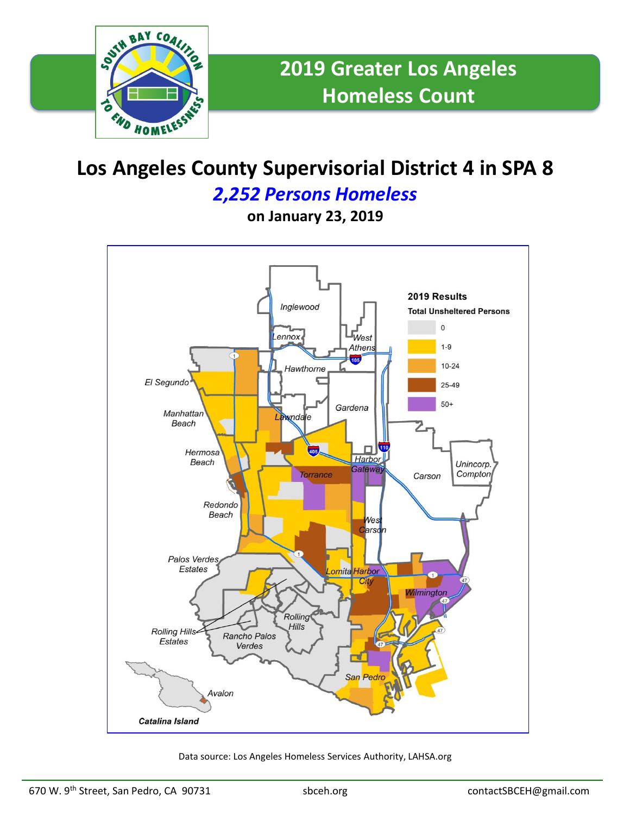

# **Los Angeles County Supervisorial District 4 in SPA 8**

### *2,252 Persons Homeless*

**on January 23, 2019**